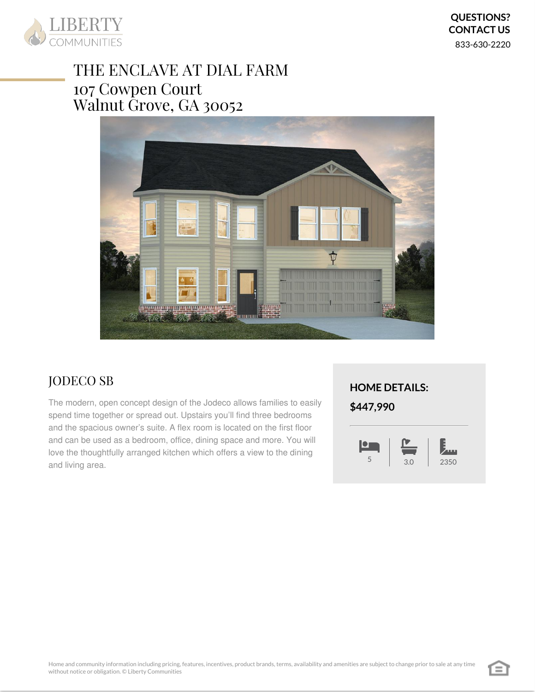

# THE ENCLAVE AT DIAL FARM 107 Cowpen Court Walnut Grove, GA 30052



## JODECO SB

The modern, open concept design of the Jodeco allows families to easily spend time together or spread out. Upstairs you'll find three bedrooms and the spacious owner's suite. A flex room is located on the first floor and can be used as a bedroom, office, dining space and more. You will love the thoughtfully arranged kitchen which offers a view to the dining and living area.

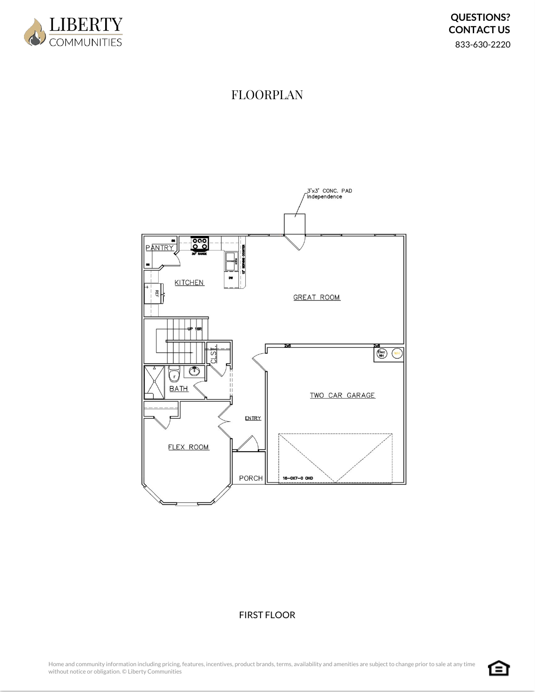

## FLOORPLAN



### FIRST FLOOR

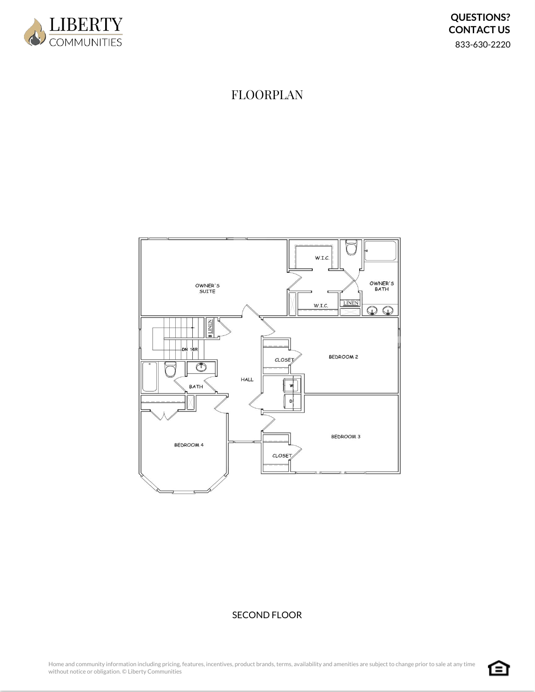

### FLOORPLAN



### SECOND FLOOR